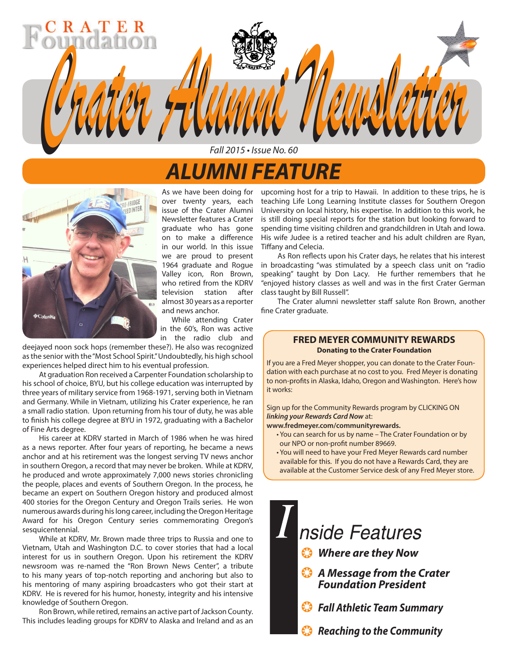## *ALUMNI FEATURE*

 $\cdot$  Issue No. 60

*Crater Alumni Newsletter Crater Alumni Newsletter*



**SAT** 

As we have been doing for over twenty years, each issue of the Crater Alumni Newsletter features a Crater graduate who has gone on to make a difference in our world. In this issue we are proud to present 1964 graduate and Rogue Valley icon, Ron Brown, who retired from the KDRV television station after almost 30 years as a reporter and news anchor.

While attending Crater in the 60's, Ron was active in the radio club and

deejayed noon sock hops (remember these?). He also was recognized as the senior with the "Most School Spirit." Undoubtedly, his high school experiences helped direct him to his eventual profession.

At graduation Ron received a Carpenter Foundation scholarship to his school of choice, BYU, but his college education was interrupted by three years of military service from 1968-1971, serving both in Vietnam and Germany. While in Vietnam, utilizing his Crater experience, he ran a small radio station. Upon returning from his tour of duty, he was able to finish his college degree at BYU in 1972, graduating with a Bachelor of Fine Arts degree.

His career at KDRV started in March of 1986 when he was hired as a news reporter. After four years of reporting, he became a news anchor and at his retirement was the longest serving TV news anchor in southern Oregon, a record that may never be broken. While at KDRV, he produced and wrote approximately 7,000 news stories chronicling the people, places and events of Southern Oregon. In the process, he became an expert on Southern Oregon history and produced almost 400 stories for the Oregon Century and Oregon Trails series. He won numerous awards during his long career, including the Oregon Heritage Award for his Oregon Century series commemorating Oregon's sesquicentennial.

While at KDRV, Mr. Brown made three trips to Russia and one to Vietnam, Utah and Washington D.C. to cover stories that had a local interest for us in southern Oregon. Upon his retirement the KDRV newsroom was re-named the "Ron Brown News Center", a tribute to his many years of top-notch reporting and anchoring but also to his mentoring of many aspiring broadcasters who got their start at KDRV. He is revered for his humor, honesty, integrity and his intensive knowledge of Southern Oregon.

Ron Brown, while retired, remains an active part of Jackson County. This includes leading groups for KDRV to Alaska and Ireland and as an upcoming host for a trip to Hawaii. In addition to these trips, he is teaching Life Long Learning Institute classes for Southern Oregon University on local history, his expertise. In addition to this work, he is still doing special reports for the station but looking forward to spending time visiting children and grandchildren in Utah and Iowa. His wife Judee is a retired teacher and his adult children are Ryan, Tiffany and Celecia.

As Ron reflects upon his Crater days, he relates that his interest in broadcasting "was stimulated by a speech class unit on "radio speaking" taught by Don Lacy. He further remembers that he "enjoyed history classes as well and was in the first Crater German class taught by Bill Russell".

The Crater alumni newsletter staff salute Ron Brown, another fine Crater graduate.

## **FRED MEYER COMMUNITY REWARDS Donating to the Crater Foundation**

If you are a Fred Meyer shopper, you can donate to the Crater Foundation with each purchase at no cost to you. Fred Meyer is donating to non-profits in Alaska, Idaho, Oregon and Washington. Here's how it works:

Sign up for the Community Rewards program by CLICKING ON *linking your Rewards Card Now* at:

**www.fredmeyer.com/communityrewards.**

- You can search for us by name The Crater Foundation or by our NPO or non-profit number 89669.
- You will need to have your Fred Meyer Rewards card number available for this. If you do not have a Rewards Card, they are available at the Customer Service desk of any Fred Meyer store.

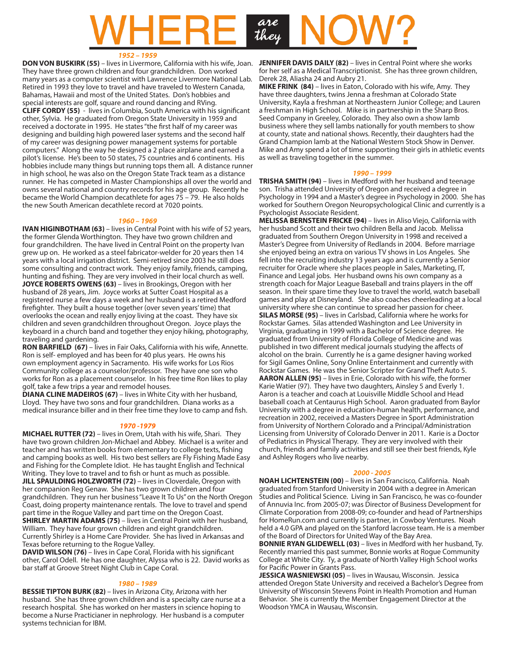## are<br>they HЕ

#### *1952 – 1959*

DON VON BUSKIRK (55) – lives in Livermore, California with his wife, Joan. JENNIFER DAVIS DAILY (82) – lives in Central Point where she works They have three grown children and four grandchildren. Don worked many years as a computer scientist with Lawrence Livermore National Lab. Retired in 1993 they love to travel and have traveled to Western Canada, Bahamas, Hawaii and most of the United States. Don's hobbies and special interests are golf, square and round dancing and RVing. **CLIFF CORDY (55)** - lives in Columbia, South America with his significant other, Sylvia. He graduated from Oregon State University in 1959 and received a doctorate in 1995. He states "the first half of my career was designing and building high powered laser systems and the second half of my career was designing power management systems for portable computers." Along the way he designed a 2 place airplane and earned a pilot's license. He's been to 50 states, 75 countries and 6 continents. His hobbies include many things but running tops them all. A distance runner in high school, he was also on the Oregon State Track team as a distance runner. He has competed in Master Championships all over the world and owns several national and country records for his age group. Recently he became the World Champion decathlete for ages 75 – 79. He also holds the new South American decathlete record at 7020 points.

#### *1960 – 1969*

**IVAN HIGINBOTHAM (63)** – lives in Central Point with his wife of 52 years, the former Glenda Worthington. They have two grown children and four grandchildren. The have lived in Central Point on the property Ivan grew up on. He worked as a steel fabricator-welder for 20 years then 14 years with a local irrigation district. Semi-retired since 2003 he still does some consulting and contract work. They enjoy family, friends, camping, hunting and fishing. They are very involved in their local church as well. **JOYCE ROBERTS OWENS (63)** – lives in Brookings, Oregon with her husband of 28 years, Jim. Joyce works at Sutter Coast Hospital as a registered nurse a few days a week and her husband is a retired Medford firefighter. They built a house together (over seven years' time) that overlooks the ocean and really enjoy living at the coast. They have six children and seven grandchildren throughout Oregon. Joyce plays the keyboard in a church band and together they enjoy hiking, photography, traveling and gardening.

**RON BARFIELD (67)** – lives in Fair Oaks, California with his wife, Annette. Ron is self- employed and has been for 40 plus years. He owns his own employment agency in Sacramento. His wife works for Los Rios Community college as a counselor/professor. They have one son who works for Ron as a placement counselor. In his free time Ron likes to play golf, take a few trips a year and remodel houses.

**DIANA CLINE MADEIROS (67)** – lives in White City with her husband, Lloyd. They have two sons and four grandchildren. Diana works as a medical insurance biller and in their free time they love to camp and fish.

### *1970 -1979*

**MICHAEL RUTTER (72)** – lives in Orem, Utah with his wife, Shari. They have two grown children Jon-Michael and Abbey. Michael is a writer and teacher and has written books from elementary to college texts, fishing and camping books as well. His two best sellers are Fly Fishing Made Easy and Fishing for the Complete Idiot. He has taught English and Technical Writing. They love to travel and to fish or hunt as much as possible. **JILL SPAULDING HOLZWORTH (72)** – lives in Cloverdale, Oregon with her companion Reg Genaw. She has two grown children and four grandchildren. They run her business "Leave It To Us" on the North Oregon Coast, doing property maintenance rentals. The love to travel and spend part time in the Rogue Valley and part time on the Oregon Coast. **SHIRLEY MARTIN ADAMS (75)** – lives in Central Point with her husband, William. They have four grown children and eight grandchildren. Currently Shirley is a Home Care Provider. She has lived in Arkansas and Texas before returning to the Rogue Valley.

**DAVID WILSON (76)** – lives in Cape Coral, Florida with his significant other, Carol Odell. He has one daughter, Alyssa who is 22. David works as bar staff at Groove Street Night Club in Cape Coral.

#### *1980 – 1989*

**BESSIE TIPTON BURK (82)** – lives in Arizona City, Arizona with her husband. She has three grown children and is a specialty care nurse at a research hospital. She has worked on her masters in science hoping to become a Nurse Practicianer in nephrology. Her husband is a computer systems technician for IBM.

for her self as a Medical Transcriptionist. She has three grown children, Derek 28, Aliasha 24 and Aubry 21.

**MIKE FRINK (84)** – lives in Eaton, Colorado with his wife, Amy. They have three daughters, twins Jenna a freshman at Colorado State University, Kayla a freshman at Northeastern Junior College; and Lauren a freshman in High School. Mike is in partnership in the Sharp Bros. Seed Company in Greeley, Colorado. They also own a show lamb business where they sell lambs nationally for youth members to show at county, state and national shows. Recently, their daughters had the Grand Champion lamb at the National Western Stock Show in Denver. Mike and Amy spend a lot of time supporting their girls in athletic events as well as traveling together in the summer.

#### *1990 – 1999*

**TRISHA SMITH (94)** – lives in Medford with her husband and teenage son. Trisha attended University of Oregon and received a degree in Psychology in 1994 and a Master's degree in Psychology in 2000. She has worked for Southern Oregon Neuropsychological Clinic and currently is a Psychologist Associate Resident.

**MELISSA BERNSTEIN FRICKE (94)** – lives in Aliso Viejo, California with her husband Scott and their two children Bella and Jacob. Melissa graduated from Southern Oregon University in 1998 and received a Master's Degree from University of Redlands in 2004. Before marriage she enjoyed being an extra on various TV shows in Los Angeles. She fell into the recruiting industry 13 years ago and is currently a Senior recruiter for Oracle where she places people in Sales, Marketing, IT, Finance and Legal jobs. Her husband owns his own company as a strength coach for Major League Baseball and trains players in the off season. In their spare time they love to travel the world, watch baseball games and play at Disneyland. She also coaches cheerleading at a local university where she can continue to spread her passion for cheer. **SILAS MORSE (95)** – lives in Carlsbad, California where he works for Rockstar Games. Silas attended Washington and Lee University in Virginia, graduating in 1999 with a Bachelor of Science degree. He graduated from University of Florida College of Medicine and was published in two different medical journals studying the affects of alcohol on the brain. Currently he is a game designer having worked for Sigil Games Online, Sony Online Entertainment and currently with Rockstar Games. He was the Senior Scripter for Grand Theft Auto 5. **AARON ALLEN (95)** – lives in Erie, Colorado with his wife, the former Karie Watier (97). They have two daughters, Ainsley 5 and Everly 1. Aaron is a teacher and coach at Louisville Middle School and Head baseball coach at Centaurus High School. Aaron graduated from Baylor University with a degree in education-human health, performance, and recreation in 2002, received a Masters Degree in Sport Administration from University of Northern Colorado and a Principal/Administration Licensing from University of Colorado Denver in 2011. Karie is a Doctor of Pediatrics in Physical Therapy. They are very involved with their church, friends and family activities and still see their best friends, Kyle and Ashley Rogers who live nearby.

#### *2000 - 2005*

**NOAH LICHTENSTEIN (00)** – lives in San Francisco, California. Noah graduated from Stanford University in 2004 with a degree in American Studies and Political Science. Living in San Francisco, he was co-founder of Annuvia Inc. from 2005-07; was Director of Business Development for Climate Corporation from 2008-09; co-founder and head of Partnerships for HomeRun.com and currently is partner, in Cowboy Ventures. Noah held a 4.0 GPA and played on the Stanford lacrosse team. He is a member of the Board of Directors for United Way of the Bay Area.

**BONNIE RYAN GLIDEWELL (03)** – lives in Medford with her husband, Ty. Recently married this past summer, Bonnie works at Rogue Community College at White City. Ty, a graduate of North Valley High School works for Pacific Power in Grants Pass.

**JESSICA WASNIEWSKI (05)** – lives in Wausau, Wisconsin. Jessica attended Oregon State University and received a Bachelor's Degree from University of Wisconsin Stevens Point in Health Promotion and Human Behavior. She is currently the Member Engagement Director at the Woodson YMCA in Wausau, Wisconsin.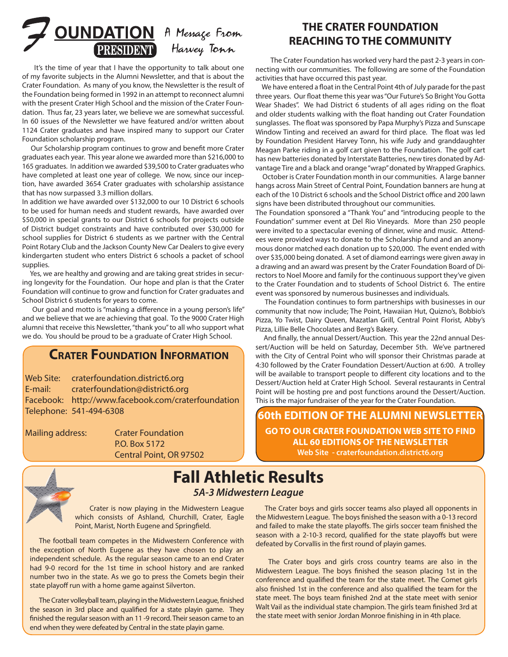# **OUNDATION** A Message From

 It's the time of year that I have the opportunity to talk about one of my favorite subjects in the Alumni Newsletter, and that is about the Crater Foundation. As many of you know, the Newsletter is the result of the Foundation being formed in 1992 in an attempt to reconnect alumni with the present Crater High School and the mission of the Crater Foundation. Thus far, 23 years later, we believe we are somewhat successful. In 60 issues of the Newsletter we have featured and/or written about 1124 Crater graduates and have inspired many to support our Crater Foundation scholarship program.

 Our Scholarship program continues to grow and benefit more Crater graduates each year. This year alone we awarded more than \$216,000 to 165 graduates. In addition we awarded \$39,500 to Crater graduates who have completed at least one year of college. We now, since our inception, have awarded 3654 Crater graduates with scholarship assistance that has now surpassed 3.3 million dollars.

In addition we have awarded over \$132,000 to our 10 District 6 schools to be used for human needs and student rewards, have awarded over \$50,000 in special grants to our District 6 schools for projects outside of District budget constraints and have contributed over \$30,000 for school supplies for District 6 students as we partner with the Central Point Rotary Club and the Jackson County New Car Dealers to give every kindergarten student who enters District 6 schools a packet of school supplies.

 Yes, we are healthy and growing and are taking great strides in securing longevity for the Foundation. Our hope and plan is that the Crater Foundation will continue to grow and function for Crater graduates and School District 6 students for years to come.

 Our goal and motto is "making a difference in a young person's life" and we believe that we are achieving that goal. To the 9000 Crater High alumni that receive this Newsletter, "thank you" to all who support what we do. You should be proud to be a graduate of Crater High School.

## **Crater Foundation Information**

Web Site: craterfoundation.district6.org E-mail: craterfoundation@district6.org Facebook: http://www.facebook.com/craterfoundation Telephone: 541-494-6308

Mailing address: Crater Foundation P.O. Box 5172 Central Point, OR 97502



**Fall Athletic Results**  *5A-3 Midwestern League*

Crater is now playing in the Midwestern League which consists of Ashland, Churchill, Crater, Eagle Point, Marist, North Eugene and Springfield.

The football team competes in the Midwestern Conference with the exception of North Eugene as they have chosen to play an independent schedule. As the regular season came to an end Crater had 9-0 record for the 1st time in school history and are ranked number two in the state. As we go to press the Comets begin their state playoff run with a home game against Silverton.

The Crater volleyball team, playing in the Midwestern League, finished the season in 3rd place and qualified for a state playin game. They finished the regular season with an 11 -9 record. Their season came to an end when they were defeated by Central in the state playin game.

## **THE CRATER FOUNDATION REACHING TO THE COMMUNITY**

The Crater Foundation has worked very hard the past 2-3 years in connecting with our communities. The following are some of the Foundation activities that have occurred this past year.

 We have entered a float in the Central Point 4th of July parade for the past three years. Our float theme this year was "Our Future's So Bright You Gotta Wear Shades". We had District 6 students of all ages riding on the float and older students walking with the float handing out Crater Foundation sunglasses. The float was sponsored by Papa Murphy's Pizza and Sunscape Window Tinting and received an award for third place. The float was led by Foundation President Harvey Tonn, his wife Judy and granddaughter Meagan Parke riding in a golf cart given to the Foundation. The golf cart has new batteries donated by Interstate Batteries, new tires donated by Advantage Tire and a black and orange "wrap" donated by Wrapped Graphics.

 October is Crater Foundation month in our communities. A large banner hangs across Main Street of Central Point, Foundation banners are hung at each of the 10 District 6 schools and the School District office and 200 lawn signs have been distributed throughout our communities.

The Foundation sponsored a "Thank You" and "introducing people to the Foundation" summer event at Del Rio Vineyards. More than 250 people were invited to a spectacular evening of dinner, wine and music. Attendees were provided ways to donate to the Scholarship fund and an anonymous donor matched each donation up to \$20,000. The event ended with over \$35,000 being donated. A set of diamond earrings were given away in a drawing and an award was present by the Crater Foundation Board of Directors to Noel Moore and family for the continuous support they've given to the Crater Foundation and to students of School District 6. The entire event was sponsored by numerous businesses and individuals.

 The Foundation continues to form partnerships with businesses in our community that now include; The Point, Hawaiian Hut, Quizno's, Bobbio's Pizza, Yo Twist, Dairy Queen, Mazatlan Grill, Central Point Florist, Abby's Pizza, Lillie Belle Chocolates and Berg's Bakery.

 And finally, the annual Dessert/Auction. This year the 22nd annual Dessert/Auction will be held on Saturday, December 5th. We've partnered with the City of Central Point who will sponsor their Christmas parade at 4:30 followed by the Crater Foundation Dessert/Auction at 6:00. A trolley will be available to transport people to different city locations and to the Dessert/Auction held at Crater High School. Several restaurants in Central Point will be hosting pre and post functions around the Dessert/Auction. This is the major fundraiser of the year for the Crater Foundation.

**60th EDITION OF THE ALUMNI NEWSLETTER GO TO OUR CRATER FOUNDATION WEB SITE TO FIND ALL 60 EDITIONS OF THE NEWSLETTER Web Site - craterfoundation.district6.org**

 The Crater boys and girls soccer teams also played all opponents in the Midwestern League. The boys finished the season with a 0-13 record and failed to make the state playoffs. The girls soccer team finished the season with a 2-10-3 record, qualified for the state playoffs but were defeated by Corvallis in the first round of playin games.

 The Crater boys and girls cross country teams are also in the Midwestern League. The boys finished the season placing 1st in the conference and qualified the team for the state meet. The Comet girls also finished 1st in the conference and also qualified the team for the state meet. The boys team finished 2nd at the state meet with senior Walt Vail as the individual state champion. The girls team finished 3rd at the state meet with senior Jordan Monroe finishing in in 4th place.